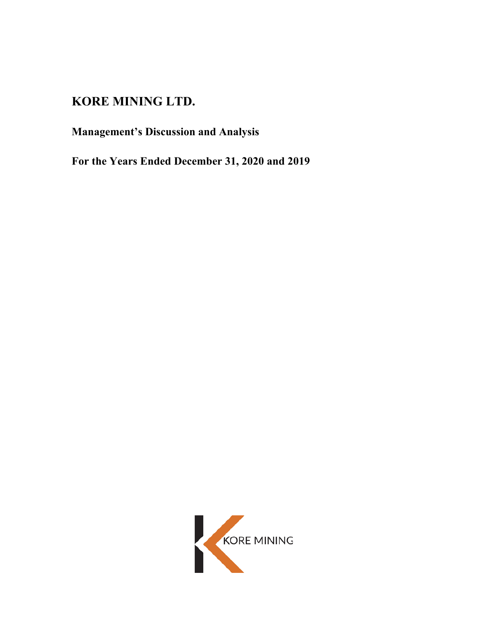# **KORE MINING LTD.**

# **Management's Discussion and Analysis**

**For the Years Ended December 31, 2020 and 2019**

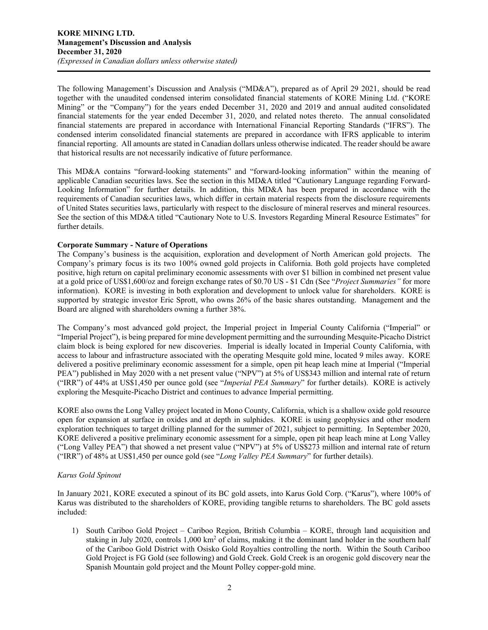The following Management's Discussion and Analysis ("MD&A"), prepared as of April 29 2021, should be read together with the unaudited condensed interim consolidated financial statements of KORE Mining Ltd. ("KORE Mining" or the "Company") for the years ended December 31, 2020 and 2019 and annual audited consolidated financial statements for the year ended December 31, 2020, and related notes thereto. The annual consolidated financial statements are prepared in accordance with International Financial Reporting Standards ("IFRS"). The condensed interim consolidated financial statements are prepared in accordance with IFRS applicable to interim financial reporting. All amounts are stated in Canadian dollars unless otherwise indicated. The reader should be aware that historical results are not necessarily indicative of future performance.

This MD&A contains "forward-looking statements" and "forward-looking information" within the meaning of applicable Canadian securities laws. See the section in this MD&A titled "Cautionary Language regarding Forward-Looking Information" for further details. In addition, this MD&A has been prepared in accordance with the requirements of Canadian securities laws, which differ in certain material respects from the disclosure requirements of United States securities laws, particularly with respect to the disclosure of mineral reserves and mineral resources. See the section of this MD&A titled "Cautionary Note to U.S. Investors Regarding Mineral Resource Estimates" for further details.

# **Corporate Summary - Nature of Operations**

The Company's business is the acquisition, exploration and development of North American gold projects. The Company's primary focus is its two 100% owned gold projects in California. Both gold projects have completed positive, high return on capital preliminary economic assessments with over \$1 billion in combined net present value at a gold price of US\$1,600/oz and foreign exchange rates of \$0.70 US - \$1 Cdn (See "*Project Summaries"* for more information). KORE is investing in both exploration and development to unlock value for shareholders. KORE is supported by strategic investor Eric Sprott, who owns 26% of the basic shares outstanding. Management and the Board are aligned with shareholders owning a further 38%.

The Company's most advanced gold project, the Imperial project in Imperial County California ("Imperial" or "Imperial Project"), is being prepared for mine development permitting and the surrounding Mesquite-Picacho District claim block is being explored for new discoveries. Imperial is ideally located in Imperial County California, with access to labour and infrastructure associated with the operating Mesquite gold mine, located 9 miles away. KORE delivered a positive preliminary economic assessment for a simple, open pit heap leach mine at Imperial ("Imperial PEA") published in May 2020 with a net present value ("NPV") at 5% of US\$343 million and internal rate of return ("IRR") of 44% at US\$1,450 per ounce gold (see "*Imperial PEA Summary*" for further details). KORE is actively exploring the Mesquite-Picacho District and continues to advance Imperial permitting.

KORE also owns the Long Valley project located in Mono County, California, which is a shallow oxide gold resource open for expansion at surface in oxides and at depth in sulphides. KORE is using geophysics and other modern exploration techniques to target drilling planned for the summer of 2021, subject to permitting. In September 2020, KORE delivered a positive preliminary economic assessment for a simple, open pit heap leach mine at Long Valley ("Long Valley PEA") that showed a net present value ("NPV") at 5% of US\$273 million and internal rate of return ("IRR") of 48% at US\$1,450 per ounce gold (see "*Long Valley PEA Summary*" for further details).

#### *Karus Gold Spinout*

In January 2021, KORE executed a spinout of its BC gold assets, into Karus Gold Corp. ("Karus"), where 100% of Karus was distributed to the shareholders of KORE, providing tangible returns to shareholders. The BC gold assets included:

1) South Cariboo Gold Project – Cariboo Region, British Columbia – KORE, through land acquisition and staking in July 2020, controls 1,000 km<sup>2</sup> of claims, making it the dominant land holder in the southern half of the Cariboo Gold District with Osisko Gold Royalties controlling the north. Within the South Cariboo Gold Project is FG Gold (see following) and Gold Creek. Gold Creek is an orogenic gold discovery near the Spanish Mountain gold project and the Mount Polley copper-gold mine.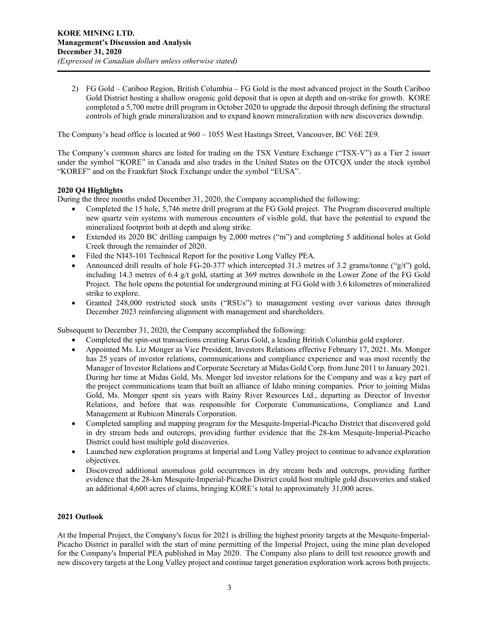2) FG Gold – Cariboo Region, British Columbia – FG Gold is the most advanced project in the South Cariboo Gold District hosting a shallow orogenic gold deposit that is open at depth and on-strike for growth. KORE completed a 5,700 metre drill program in October 2020 to upgrade the deposit through defining the structural controls of high grade mineralization and to expand known mineralization with new discoveries downdip.

The Company's head office is located at 960 – 1055 West Hastings Street, Vancouver, BC V6E 2E9.

The Company's common shares are listed for trading on the TSX Venture Exchange ("TSX-V") as a Tier 2 issuer under the symbol "KORE" in Canada and also trades in the United States on the OTCQX under the stock symbol "KOREF" and on the Frankfurt Stock Exchange under the symbol "EUSA".

# **2020 Q4 Highlights**

During the three months ended December 31, 2020, the Company accomplished the following:

- Completed the 15 hole, 5,746 metre drill program at the FG Gold project. The Program discovered multiple new quartz vein systems with numerous encounters of visible gold, that have the potential to expand the mineralized footprint both at depth and along strike.
- Extended its 2020 BC drilling campaign by 2,000 metres ("m") and completing 5 additional holes at Gold Creek through the remainder of 2020.
- Filed the NI43-101 Technical Report for the positive Long Valley PEA.
- Announced drill results of hole FG-20-377 which intercepted 31.3 metres of 3.2 grams/tonne (" $g/t$ ") gold, including 14.3 metres of 6.4 g/t gold, starting at 369 metres downhole in the Lower Zone of the FG Gold Project. The hole opens the potential for underground mining at FG Gold with 3.6 kilometres of mineralized strike to explore.
- Granted 248,000 restricted stock units ("RSUs") to management vesting over various dates through December 2023 reinforcing alignment with management and shareholders.

Subsequent to December 31, 2020, the Company accomplished the following:

- Completed the spin-out transactions creating Karus Gold, a leading British Columbia gold explorer.
- Appointed Ms. Liz Monger as Vice President, Investors Relations effective February 17, 2021. Ms. Monger has 25 years of investor relations, communications and compliance experience and was most recently the Manager of Investor Relations and Corporate Secretary at Midas Gold Corp. from June 2011 to January 2021. During her time at Midas Gold, Ms. Monger led investor relations for the Company and was a key part of the project communications team that built an alliance of Idaho mining companies. Prior to joining Midas Gold, Ms. Monger spent six years with Rainy River Resources Ltd., departing as Director of Investor Relations, and before that was responsible for Corporate Communications, Compliance and Land Management at Rubicon Minerals Corporation.
- Completed sampling and mapping program for the Mesquite-Imperial-Picacho District that discovered gold in dry stream beds and outcrops, providing further evidence that the 28-km Mesquite-Imperial-Picacho District could host multiple gold discoveries.
- Launched new exploration programs at Imperial and Long Valley project to continue to advance exploration objectives.
- Discovered additional anomalous gold occurrences in dry stream beds and outcrops, providing further evidence that the 28-km Mesquite-Imperial-Picacho District could host multiple gold discoveries and staked an additional 4,600 acres of claims, bringing KORE's total to approximately 31,000 acres.

# **2021 Outlook**

At the Imperial Project, the Company's focus for 2021 is drilling the highest priority targets at the Mesquite-Imperial-Picacho District in parallel with the start of mine permitting of the Imperial Project, using the mine plan developed for the Company's Imperial PEA published in May 2020. The Company also plans to drill test resource growth and new discovery targets at the Long Valley project and continue target generation exploration work across both projects.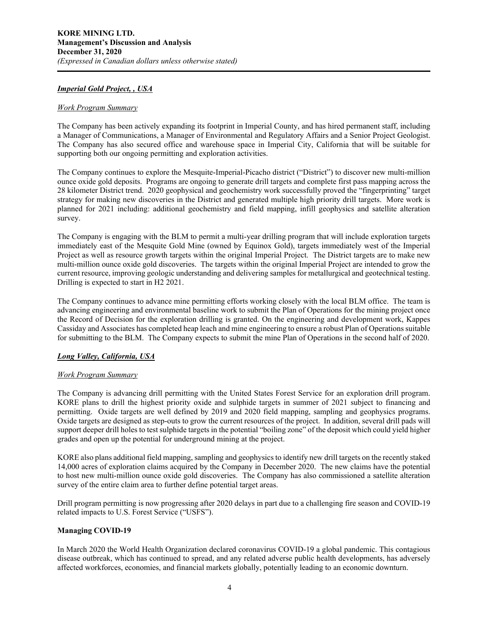## *Imperial Gold Project, , USA*

#### *Work Program Summary*

The Company has been actively expanding its footprint in Imperial County, and has hired permanent staff, including a Manager of Communications, a Manager of Environmental and Regulatory Affairs and a Senior Project Geologist. The Company has also secured office and warehouse space in Imperial City, California that will be suitable for supporting both our ongoing permitting and exploration activities.

The Company continues to explore the Mesquite-Imperial-Picacho district ("District") to discover new multi-million ounce oxide gold deposits. Programs are ongoing to generate drill targets and complete first pass mapping across the 28 kilometer District trend. 2020 geophysical and geochemistry work successfully proved the "fingerprinting" target strategy for making new discoveries in the District and generated multiple high priority drill targets. More work is planned for 2021 including: additional geochemistry and field mapping, infill geophysics and satellite alteration survey.

The Company is engaging with the BLM to permit a multi-year drilling program that will include exploration targets immediately east of the Mesquite Gold Mine (owned by Equinox Gold), targets immediately west of the Imperial Project as well as resource growth targets within the original Imperial Project. The District targets are to make new multi-million ounce oxide gold discoveries. The targets within the original Imperial Project are intended to grow the current resource, improving geologic understanding and delivering samples for metallurgical and geotechnical testing. Drilling is expected to start in H2 2021.

The Company continues to advance mine permitting efforts working closely with the local BLM office. The team is advancing engineering and environmental baseline work to submit the Plan of Operations for the mining project once the Record of Decision for the exploration drilling is granted. On the engineering and development work, Kappes Cassiday and Associates has completed heap leach and mine engineering to ensure a robust Plan of Operations suitable for submitting to the BLM. The Company expects to submit the mine Plan of Operations in the second half of 2020.

# *Long Valley, California, USA*

#### *Work Program Summary*

The Company is advancing drill permitting with the United States Forest Service for an exploration drill program. KORE plans to drill the highest priority oxide and sulphide targets in summer of 2021 subject to financing and permitting. Oxide targets are well defined by 2019 and 2020 field mapping, sampling and geophysics programs. Oxide targets are designed as step-outs to grow the current resources of the project. In addition, several drill pads will support deeper drill holes to test sulphide targets in the potential "boiling zone" of the deposit which could yield higher grades and open up the potential for underground mining at the project.

KORE also plans additional field mapping, sampling and geophysics to identify new drill targets on the recently staked 14,000 acres of exploration claims acquired by the Company in December 2020. The new claims have the potential to host new multi-million ounce oxide gold discoveries. The Company has also commissioned a satellite alteration survey of the entire claim area to further define potential target areas.

Drill program permitting is now progressing after 2020 delays in part due to a challenging fire season and COVID-19 related impacts to U.S. Forest Service ("USFS").

#### **Managing COVID-19**

In March 2020 the World Health Organization declared coronavirus COVID-19 a global pandemic. This contagious disease outbreak, which has continued to spread, and any related adverse public health developments, has adversely affected workforces, economies, and financial markets globally, potentially leading to an economic downturn.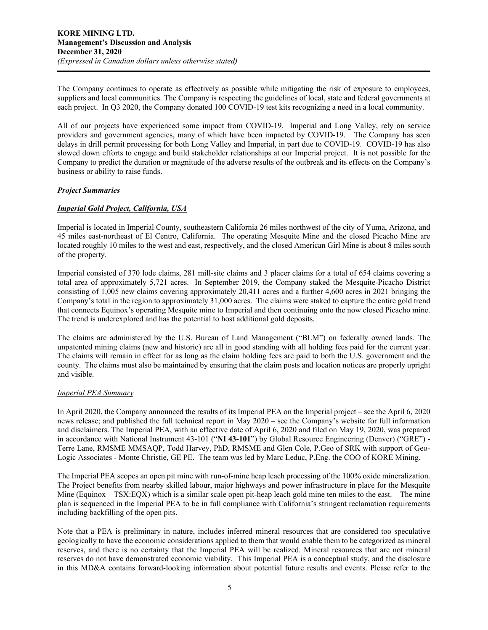The Company continues to operate as effectively as possible while mitigating the risk of exposure to employees, suppliers and local communities. The Company is respecting the guidelines of local, state and federal governments at each project. In Q3 2020, the Company donated 100 COVID-19 test kits recognizing a need in a local community.

All of our projects have experienced some impact from COVID-19. Imperial and Long Valley, rely on service providers and government agencies, many of which have been impacted by COVID-19. The Company has seen delays in drill permit processing for both Long Valley and Imperial, in part due to COVID-19. COVID-19 has also slowed down efforts to engage and build stakeholder relationships at our Imperial project. It is not possible for the Company to predict the duration or magnitude of the adverse results of the outbreak and its effects on the Company's business or ability to raise funds.

## *Project Summaries*

# *Imperial Gold Project, California, USA*

Imperial is located in Imperial County, southeastern California 26 miles northwest of the city of Yuma, Arizona, and 45 miles east-northeast of El Centro, California. The operating Mesquite Mine and the closed Picacho Mine are located roughly 10 miles to the west and east, respectively, and the closed American Girl Mine is about 8 miles south of the property.

Imperial consisted of 370 lode claims, 281 mill-site claims and 3 placer claims for a total of 654 claims covering a total area of approximately 5,721 acres. In September 2019, the Company staked the Mesquite-Picacho District consisting of 1,005 new claims covering approximately 20,411 acres and a further 4,600 acres in 2021 bringing the Company's total in the region to approximately 31,000 acres. The claims were staked to capture the entire gold trend that connects Equinox's operating Mesquite mine to Imperial and then continuing onto the now closed Picacho mine. The trend is underexplored and has the potential to host additional gold deposits.

The claims are administered by the U.S. Bureau of Land Management ("BLM") on federally owned lands. The unpatented mining claims (new and historic) are all in good standing with all holding fees paid for the current year. The claims will remain in effect for as long as the claim holding fees are paid to both the U.S. government and the county. The claims must also be maintained by ensuring that the claim posts and location notices are properly upright and visible.

# *Imperial PEA Summary*

In April 2020, the Company announced the results of its Imperial PEA on the Imperial project – see the April 6, 2020 news release; and published the full technical report in May 2020 – see the Company's website for full information and disclaimers. The Imperial PEA, with an effective date of April 6, 2020 and filed on May 19, 2020, was prepared in accordance with National Instrument 43-101 ("**NI 43-101**") by Global Resource Engineering (Denver) ("GRE") - Terre Lane, RMSME MMSAQP, Todd Harvey, PhD, RMSME and Glen Cole, P.Geo of SRK with support of Geo-Logic Associates - Monte Christie, GE PE. The team was led by Marc Leduc, P.Eng. the COO of KORE Mining.

The Imperial PEA scopes an open pit mine with run-of-mine heap leach processing of the 100% oxide mineralization. The Project benefits from nearby skilled labour, major highways and power infrastructure in place for the Mesquite Mine (Equinox – TSX:EQX) which is a similar scale open pit-heap leach gold mine ten miles to the east. The mine plan is sequenced in the Imperial PEA to be in full compliance with California's stringent reclamation requirements including backfilling of the open pits.

Note that a PEA is preliminary in nature, includes inferred mineral resources that are considered too speculative geologically to have the economic considerations applied to them that would enable them to be categorized as mineral reserves, and there is no certainty that the Imperial PEA will be realized. Mineral resources that are not mineral reserves do not have demonstrated economic viability. This Imperial PEA is a conceptual study, and the disclosure in this MD&A contains forward-looking information about potential future results and events. Please refer to the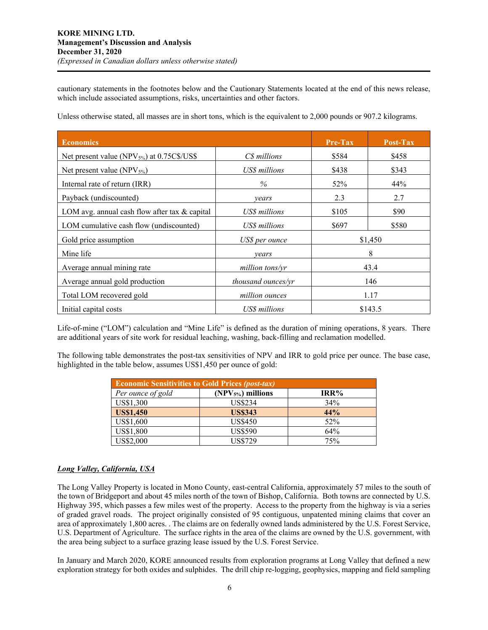cautionary statements in the footnotes below and the Cautionary Statements located at the end of this news release, which include associated assumptions, risks, uncertainties and other factors.

| <b>Economics</b>                                       |                           | $Pre-Tax$ | Post-Tax |
|--------------------------------------------------------|---------------------------|-----------|----------|
| Net present value (NPV <sub>5%</sub> ) at 0.75C\$/US\$ | C\$ millions              | \$584     | \$458    |
| Net present value (NPV $_{5\%}$ )                      | US\$ millions             | \$438     | \$343    |
| Internal rate of return (IRR)                          | $\%$                      | 52%       | 44%      |
| Payback (undiscounted)                                 | years                     | 2.3       | 2.7      |
| LOM avg. annual cash flow after tax $\&$ capital       | US\$ millions             | \$105     | \$90     |
| LOM cumulative cash flow (undiscounted)                | US\$ millions             | \$697     | \$580    |
| Gold price assumption                                  | US\$ per ounce            |           | \$1,450  |
| Mine life                                              | vears                     |           | 8        |
| Average annual mining rate                             | million tons/yr           |           | 43.4     |
| Average annual gold production                         | <i>thousand ounces/yr</i> | 146       |          |
| Total LOM recovered gold                               | million ounces            |           | 1.17     |
| Initial capital costs                                  | US\$ millions             |           | \$143.5  |

Unless otherwise stated, all masses are in short tons, which is the equivalent to 2,000 pounds or 907.2 kilograms.

Life-of-mine ("LOM") calculation and "Mine Life" is defined as the duration of mining operations, 8 years. There are additional years of site work for residual leaching, washing, back-filling and reclamation modelled.

The following table demonstrates the post-tax sensitivities of NPV and IRR to gold price per ounce. The base case, highlighted in the table below, assumes US\$1,450 per ounce of gold:

| <b>Economic Sensitivities to Gold Prices (post-tax)</b> |                    |      |  |  |  |
|---------------------------------------------------------|--------------------|------|--|--|--|
| Per ounce of gold                                       | $(NPV5%)$ millions | IRR% |  |  |  |
| US\$1,300                                               | US\$234            | 34%  |  |  |  |
| <b>US\$1,450</b>                                        | <b>US\$343</b>     | 44%  |  |  |  |
| US\$1,600                                               | <b>US\$450</b>     | 52%  |  |  |  |
| US\$1,800                                               | <b>US\$590</b>     | 64%  |  |  |  |
| US\$2,000                                               | <b>US\$729</b>     | 75%  |  |  |  |

# *Long Valley, California, USA*

The Long Valley Property is located in Mono County, east-central California, approximately 57 miles to the south of the town of Bridgeport and about 45 miles north of the town of Bishop, California. Both towns are connected by U.S. Highway 395, which passes a few miles west of the property. Access to the property from the highway is via a series of graded gravel roads. The project originally consisted of 95 contiguous, unpatented mining claims that cover an area of approximately 1,800 acres. . The claims are on federally owned lands administered by the U.S. Forest Service, U.S. Department of Agriculture. The surface rights in the area of the claims are owned by the U.S. government, with the area being subject to a surface grazing lease issued by the U.S. Forest Service.

In January and March 2020, KORE announced results from exploration programs at Long Valley that defined a new exploration strategy for both oxides and sulphides. The drill chip re-logging, geophysics, mapping and field sampling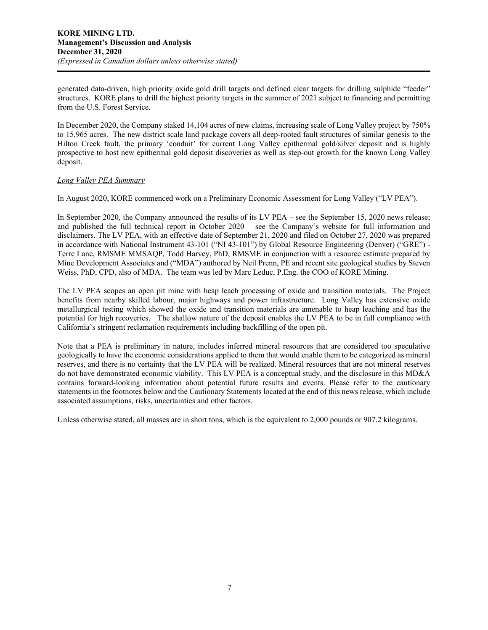generated data-driven, high priority oxide gold drill targets and defined clear targets for drilling sulphide "feeder" structures. KORE plans to drill the highest priority targets in the summer of 2021 subject to financing and permitting from the U.S. Forest Service.

In December 2020, the Company staked 14,104 acres of new claims, increasing scale of Long Valley project by 750% to 15,965 acres. The new district scale land package covers all deep-rooted fault structures of similar genesis to the Hilton Creek fault, the primary 'conduit' for current Long Valley epithermal gold/silver deposit and is highly prospective to host new epithermal gold deposit discoveries as well as step-out growth for the known Long Valley deposit.

# *Long Valley PEA Summary*

In August 2020, KORE commenced work on a Preliminary Economic Assessment for Long Valley ("LV PEA").

In September 2020, the Company announced the results of its LV PEA – see the September 15, 2020 news release; and published the full technical report in October 2020 – see the Company's website for full information and disclaimers. The LV PEA, with an effective date of September 21, 2020 and filed on October 27, 2020 was prepared in accordance with National Instrument 43-101 ("NI 43-101") by Global Resource Engineering (Denver) ("GRE") - Terre Lane, RMSME MMSAQP, Todd Harvey, PhD, RMSME in conjunction with a resource estimate prepared by Mine Development Associates and ("MDA") authored by Neil Prenn, PE and recent site geological studies by Steven Weiss, PhD, CPD, also of MDA. The team was led by Marc Leduc, P.Eng. the COO of KORE Mining.

The LV PEA scopes an open pit mine with heap leach processing of oxide and transition materials. The Project benefits from nearby skilled labour, major highways and power infrastructure. Long Valley has extensive oxide metallurgical testing which showed the oxide and transition materials are amenable to heap leaching and has the potential for high recoveries. The shallow nature of the deposit enables the LV PEA to be in full compliance with California's stringent reclamation requirements including backfilling of the open pit.

Note that a PEA is preliminary in nature, includes inferred mineral resources that are considered too speculative geologically to have the economic considerations applied to them that would enable them to be categorized as mineral reserves, and there is no certainty that the LV PEA will be realized. Mineral resources that are not mineral reserves do not have demonstrated economic viability. This LV PEA is a conceptual study, and the disclosure in this MD&A contains forward-looking information about potential future results and events. Please refer to the cautionary statements in the footnotes below and the Cautionary Statements located at the end of this news release, which include associated assumptions, risks, uncertainties and other factors.

Unless otherwise stated, all masses are in short tons, which is the equivalent to 2,000 pounds or 907.2 kilograms.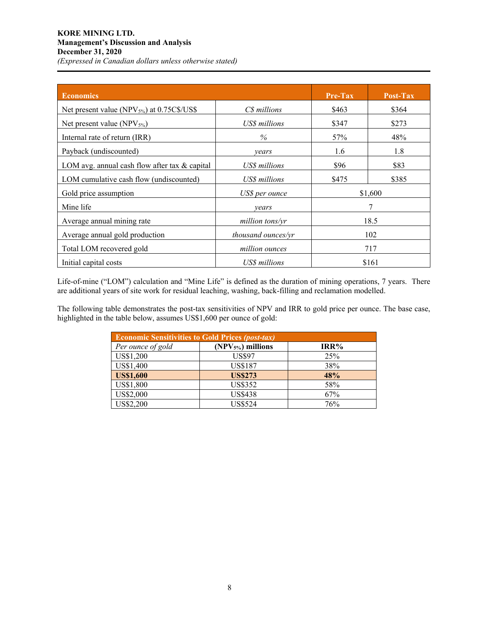# **KORE MINING LTD. Management's Discussion and Analysis December 31, 2020** *(Expressed in Canadian dollars unless otherwise stated)*

| <b>Economics</b>                                  |                           | Pre-Tax | Post-Tax |
|---------------------------------------------------|---------------------------|---------|----------|
| Net present value (NPV $_{5\%}$ ) at 0.75C\$/US\$ | C\$ millions              | \$463   | \$364    |
| Net present value (NPV $_{5\%}$ )                 | US\$ millions             | \$347   | \$273    |
| Internal rate of return (IRR)                     | $\%$                      | 57%     | 48%      |
| Payback (undiscounted)                            | vears                     | 1.6     | 1.8      |
| LOM avg. annual cash flow after tax $&$ capital   | US\$ millions             | \$96    | \$83     |
| LOM cumulative cash flow (undiscounted)           | US\$ millions             | \$475   | \$385    |
| Gold price assumption                             | US\$ per ounce            |         | \$1,600  |
| Mine life                                         | years                     |         | 7        |
| Average annual mining rate                        | million tons/yr           |         | 18.5     |
| Average annual gold production                    | <i>thousand ounces/yr</i> | 102     |          |
| Total LOM recovered gold                          | million ounces            |         | 717      |
| Initial capital costs                             | US\$ millions             |         | \$161    |

Life-of-mine ("LOM") calculation and "Mine Life" is defined as the duration of mining operations, 7 years. There are additional years of site work for residual leaching, washing, back-filling and reclamation modelled.

The following table demonstrates the post-tax sensitivities of NPV and IRR to gold price per ounce. The base case, highlighted in the table below, assumes US\$1,600 per ounce of gold:

| <b>Economic Sensitivities to Gold Prices (post-tax)</b> |                               |      |  |  |  |
|---------------------------------------------------------|-------------------------------|------|--|--|--|
| Per ounce of gold                                       | (NPV <sub>5%</sub> ) millions | IRR% |  |  |  |
| US\$1,200                                               | <b>US\$97</b>                 | 25%  |  |  |  |
| US\$1,400                                               | <b>US\$187</b>                | 38%  |  |  |  |
| <b>US\$1,600</b>                                        | <b>US\$273</b>                | 48%  |  |  |  |
| US\$1,800                                               | <b>US\$352</b>                | 58%  |  |  |  |
| US\$2,000                                               | <b>US\$438</b>                | 67%  |  |  |  |
| US\$2,200                                               | <b>US\$524</b>                | 76%  |  |  |  |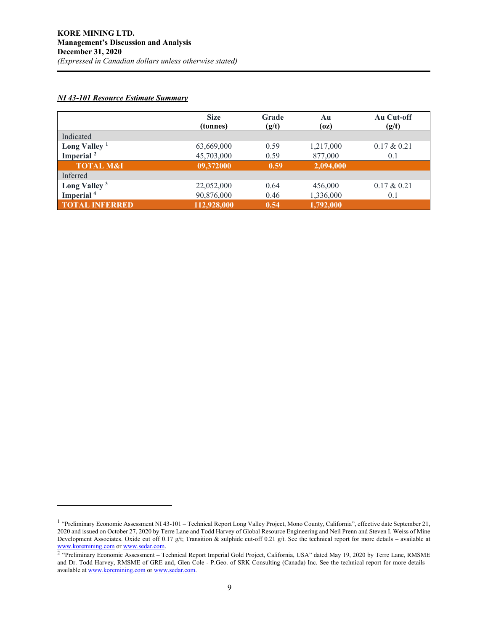# *NI 43-101 Resource Estimate Summary*

|                          | <b>Size</b><br>(tonnes) | Grade<br>(g/t) | Au<br>(oz) | Au Cut-off<br>(g/t) |
|--------------------------|-------------------------|----------------|------------|---------------------|
| Indicated                |                         |                |            |                     |
| Long Valley $1$          | 63,669,000              | 0.59           | 1,217,000  | $0.17 \& 0.21$      |
| Imperial <sup>2</sup>    | 45,703,000              | 0.59           | 877,000    | 0.1                 |
| <b>TOTAL M&amp;I</b>     | 09,372000               | 0.59           | 2,094,000  |                     |
| Inferred                 |                         |                |            |                     |
| Long Valley <sup>3</sup> | 22,052,000              | 0.64           | 456,000    | $0.17 \& 0.21$      |
| Imperial <sup>4</sup>    | 90,876,000              | 0.46           | 1,336,000  | 0.1                 |
| <b>TOTAL INFERRED</b>    | 112,928,000             | 0.54           | 1,792,000  |                     |

<sup>&</sup>lt;sup>1</sup> "Preliminary Economic Assessment NI 43-101 – Technical Report Long Valley Project, Mono County, California", effective date September 21, 2020 and issued on October 27, 2020 by Terre Lane and Todd Harvey of Global Resource Engineering and Neil Prenn and Steven I. Weiss of Mine Development Associates. Oxide cut off 0.17 g/t; Transition & sulphide cut-off 0.21 g/t. See the technical report for more details – available at www.koremining.com or www.sedar.com.

<sup>&</sup>lt;sup>2</sup> "Preliminary Economic Assessment – Technical Report Imperial Gold Project, California, USA" dated May 19, 2020 by Terre Lane, RMSME and Dr. Todd Harvey, RMSME of GRE and, Glen Cole - P.Geo. of SRK Consulting (Canada) Inc. See the technical report for more details – available at www.koremining.com or www.sedar.com.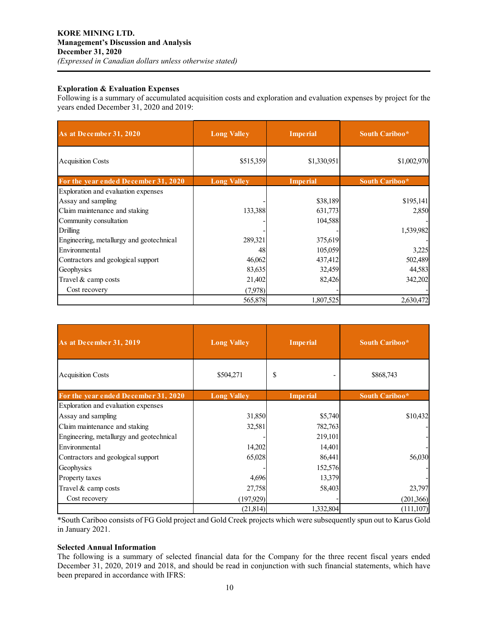## **Exploration & Evaluation Expenses**

Following is a summary of accumulated acquisition costs and exploration and evaluation expenses by project for the years ended December 31, 2020 and 2019:

| As at December 31, 2020                  | <b>Imperial</b><br><b>Long Valley</b> |                 | South Cariboo* |
|------------------------------------------|---------------------------------------|-----------------|----------------|
| <b>Acquisition Costs</b>                 | \$515,359                             | \$1,330,951     | \$1,002,970    |
| For the year ended December 31, 2020     | <b>Long Valley</b>                    | <b>Imperial</b> | South Cariboo* |
| Exploration and evaluation expenses      |                                       |                 |                |
| Assay and sampling                       |                                       | \$38,189        | \$195,141      |
| Claim maintenance and staking            | 133,388                               | 631,773         | 2,850          |
| Community consultation                   |                                       | 104,588         |                |
| Drilling                                 |                                       |                 | 1,539,982      |
| Engineering, metallurgy and geotechnical | 289,321                               | 375,619         |                |
| Environmental                            | 48                                    | 105,059         | 3,225          |
| Contractors and geological support       | 46,062                                | 437,412         | 502,489        |
| Geophysics                               | 83,635                                | 32,459          | 44,583         |
| Travel $&$ camp costs                    | 21,402                                | 82,426          | 342,202        |
| Cost recovery                            | (7,978)                               |                 |                |
|                                          | 565,878                               | 1,807,525       | 2,630,472      |

| As at December 31, 2019                  | <b>Long Valley</b><br><b>Imperial</b> |                 | South Cariboo* |
|------------------------------------------|---------------------------------------|-----------------|----------------|
| <b>Acquisition Costs</b>                 | \$504,271                             | \$              | \$868,743      |
| For the year ended December 31, 2020     | <b>Long Valley</b>                    | <b>Imperial</b> | South Cariboo* |
| Exploration and evaluation expenses      |                                       |                 |                |
| Assay and sampling                       | 31,850                                | \$5,740         | \$10,432       |
| Claim maintenance and staking            | 32,581                                | 782,763         |                |
| Engineering, metallurgy and geotechnical |                                       | 219,101         |                |
| Environmental                            | 14,202                                | 14,401          |                |
| Contractors and geological support       | 65,028                                | 86,441          | 56,030         |
| Geophysics                               |                                       | 152,576         |                |
| Property taxes                           | 4,696                                 | 13,379          |                |
| Travel & camp costs                      | 27,758                                | 58,403          | 23,797         |
| Cost recovery                            | (197,929)]                            |                 | (201, 366)     |
|                                          | (21, 814)                             | 1,332,804       | (111, 107)     |

\*South Cariboo consists of FG Gold project and Gold Creek projects which were subsequently spun out to Karus Gold in January 2021.

## **Selected Annual Information**

The following is a summary of selected financial data for the Company for the three recent fiscal years ended December 31, 2020, 2019 and 2018, and should be read in conjunction with such financial statements, which have been prepared in accordance with IFRS: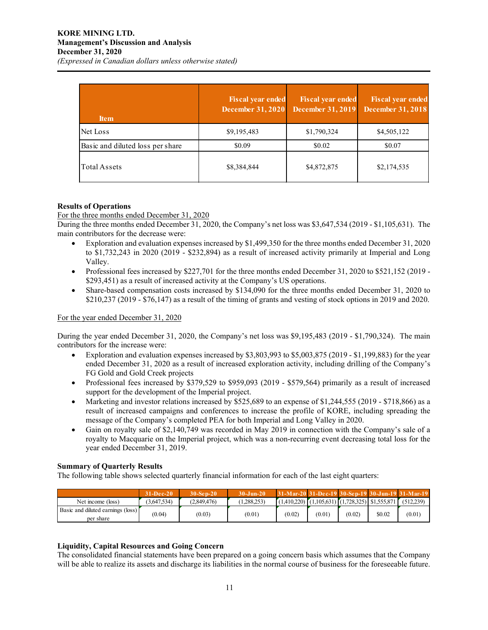| <b>Item</b>                      | <b>Fiscal year ended</b><br><b>December 31, 2020</b> | <b>Fiscal year ended</b><br><b>December 31, 2019</b> | <b>Fiscal year ended</b><br><b>December 31, 2018</b> |
|----------------------------------|------------------------------------------------------|------------------------------------------------------|------------------------------------------------------|
| Net Loss                         | \$9,195,483                                          | \$1,790,324                                          | \$4,505,122                                          |
| Basic and diluted loss per share | \$0.09                                               | \$0.02                                               | \$0.07                                               |
| Total Assets                     | \$8,384,844                                          | \$4,872,875                                          | \$2,174,535                                          |

# **Results of Operations**

For the three months ended December 31, 2020

During the three months ended December 31, 2020, the Company's net loss was \$3,647,534 (2019 - \$1,105,631). The main contributors for the decrease were:

- Exploration and evaluation expenses increased by \$1,499,350 for the three months ended December 31, 2020 to \$1,732,243 in 2020 (2019 - \$232,894) as a result of increased activity primarily at Imperial and Long Valley.
- Professional fees increased by \$227,701 for the three months ended December 31, 2020 to \$521,152 (2019 -\$293,451) as a result of increased activity at the Company's US operations.
- Share-based compensation costs increased by \$134,090 for the three months ended December 31, 2020 to \$210,237 (2019 - \$76,147) as a result of the timing of grants and vesting of stock options in 2019 and 2020.

#### For the year ended December 31, 2020

During the year ended December 31, 2020, the Company's net loss was \$9,195,483 (2019 - \$1,790,324). The main contributors for the increase were:

- Exploration and evaluation expenses increased by \$3,803,993 to \$5,003,875 (2019 \$1,199,883) for the year ended December 31, 2020 as a result of increased exploration activity, including drilling of the Company's FG Gold and Gold Creek projects
- Professional fees increased by \$379,529 to \$959,093 (2019 \$579,564) primarily as a result of increased support for the development of the Imperial project.
- Marketing and investor relations increased by \$525,689 to an expense of \$1,244,555 (2019 \$718,866) as a result of increased campaigns and conferences to increase the profile of KORE, including spreading the message of the Company's completed PEA for both Imperial and Long Valley in 2020.
- Gain on royalty sale of \$2,140,749 was recorded in May 2019 in connection with the Company's sale of a royalty to Macquarie on the Imperial project, which was a non-recurring event decreasing total loss for the year ended December 31, 2019.

# **Summary of Quarterly Results**

The following table shows selected quarterly financial information for each of the last eight quarters:

|                                                | $31 - Dec-20$ | $30-$ Sep-20 | $30 - Jun - 20$ | 31-Mar-20 31-Dec-19 30-Sep-19 30-Jun-19 31-Mar-19     |        |        |        |           |
|------------------------------------------------|---------------|--------------|-----------------|-------------------------------------------------------|--------|--------|--------|-----------|
| Net income (loss)                              | (3.647.534)   | (2,849,476)  | 1.288.253)      | $(1,410,220)$ $(1,105,631)$ $(1,728,325)$ \$1,555,871 |        |        |        | (512.239) |
| Basic and diluted earnings (loss)<br>per share | (0.04)        | (0.03)       | (0.01)          | (0.02)                                                | (0.01) | (0.02) | \$0.02 | (0.01)    |

# **Liquidity, Capital Resources and Going Concern**

The consolidated financial statements have been prepared on a going concern basis which assumes that the Company will be able to realize its assets and discharge its liabilities in the normal course of business for the foreseeable future.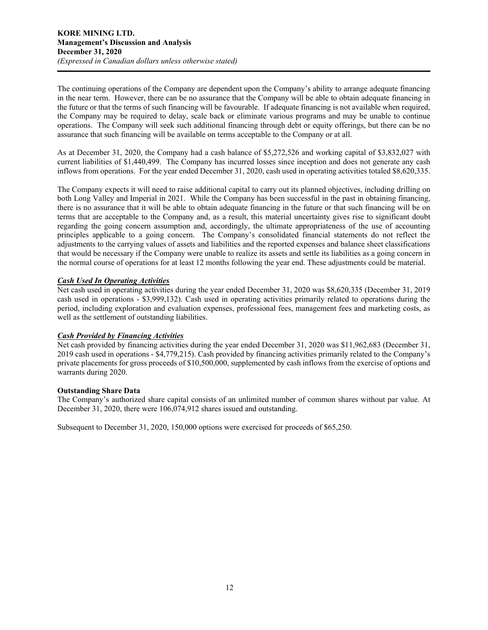The continuing operations of the Company are dependent upon the Company's ability to arrange adequate financing in the near term. However, there can be no assurance that the Company will be able to obtain adequate financing in the future or that the terms of such financing will be favourable. If adequate financing is not available when required, the Company may be required to delay, scale back or eliminate various programs and may be unable to continue operations. The Company will seek such additional financing through debt or equity offerings, but there can be no assurance that such financing will be available on terms acceptable to the Company or at all.

As at December 31, 2020, the Company had a cash balance of \$5,272,526 and working capital of \$3,832,027 with current liabilities of \$1,440,499. The Company has incurred losses since inception and does not generate any cash inflows from operations. For the year ended December 31, 2020, cash used in operating activities totaled \$8,620,335.

The Company expects it will need to raise additional capital to carry out its planned objectives, including drilling on both Long Valley and Imperial in 2021. While the Company has been successful in the past in obtaining financing, there is no assurance that it will be able to obtain adequate financing in the future or that such financing will be on terms that are acceptable to the Company and, as a result, this material uncertainty gives rise to significant doubt regarding the going concern assumption and, accordingly, the ultimate appropriateness of the use of accounting principles applicable to a going concern. The Company's consolidated financial statements do not reflect the adjustments to the carrying values of assets and liabilities and the reported expenses and balance sheet classifications that would be necessary if the Company were unable to realize its assets and settle its liabilities as a going concern in the normal course of operations for at least 12 months following the year end. These adjustments could be material.

# *Cash Used In Operating Activities*

Net cash used in operating activities during the year ended December 31, 2020 was \$8,620,335 (December 31, 2019 cash used in operations - \$3,999,132). Cash used in operating activities primarily related to operations during the period, including exploration and evaluation expenses, professional fees, management fees and marketing costs, as well as the settlement of outstanding liabilities.

# *Cash Provided by Financing Activities*

Net cash provided by financing activities during the year ended December 31, 2020 was \$11,962,683 (December 31, 2019 cash used in operations - \$4,779,215). Cash provided by financing activities primarily related to the Company's private placements for gross proceeds of \$10,500,000, supplemented by cash inflows from the exercise of options and warrants during 2020.

# **Outstanding Share Data**

The Company's authorized share capital consists of an unlimited number of common shares without par value. At December 31, 2020, there were 106,074,912 shares issued and outstanding.

Subsequent to December 31, 2020, 150,000 options were exercised for proceeds of \$65,250.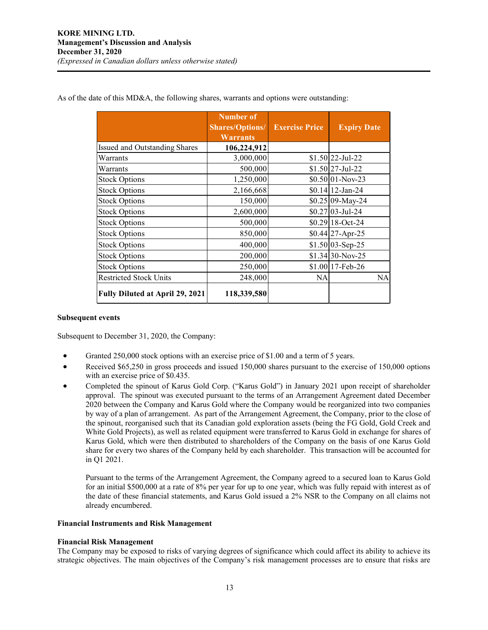|                                        | Number of<br><b>Shares/Options/</b><br><b>Warrants</b> | <b>Exercise Price</b> | <b>Expiry Date</b>  |
|----------------------------------------|--------------------------------------------------------|-----------------------|---------------------|
| Issued and Outstanding Shares          | 106,224,912                                            |                       |                     |
| Warrants                               | 3,000,000                                              |                       | $$1.50 22$ -Jul-22  |
| Warrants                               | 500,000                                                |                       | $$1.50$  27-Jul-22  |
| <b>Stock Options</b>                   | 1,250,000                                              |                       | $$0.50 01-Nov-23$   |
| <b>Stock Options</b>                   | 2,166,668                                              |                       | $$0.14$   12-Jan-24 |
| <b>Stock Options</b>                   | 150,000                                                |                       | $$0.25$ 09-May-24   |
| <b>Stock Options</b>                   | 2,600,000                                              |                       | $$0.27$ 03-Jul-24   |
| <b>Stock Options</b>                   | 500,000                                                |                       | $$0.29118-Oct-24$   |
| <b>Stock Options</b>                   | 850,000                                                |                       | $$0.44$   27-Apr-25 |
| <b>Stock Options</b>                   | 400,000                                                |                       | $$1.50 03-Sep-25$   |
| <b>Stock Options</b>                   | 200,000                                                |                       | $$1.34 30-Nov-25$   |
| <b>Stock Options</b>                   | 250,000                                                |                       | \$1.00 17-Feb-26    |
| <b>Restricted Stock Units</b>          | 248,000                                                | NA                    | NA                  |
| <b>Fully Diluted at April 29, 2021</b> | 118,339,580                                            |                       |                     |

As of the date of this MD&A, the following shares, warrants and options were outstanding:

#### **Subsequent events**

Subsequent to December 31, 2020, the Company:

- Granted 250,000 stock options with an exercise price of \$1.00 and a term of 5 years.
- Received \$65,250 in gross proceeds and issued 150,000 shares pursuant to the exercise of 150,000 options with an exercise price of \$0.435.
- Completed the spinout of Karus Gold Corp. ("Karus Gold") in January 2021 upon receipt of shareholder approval. The spinout was executed pursuant to the terms of an Arrangement Agreement dated December 2020 between the Company and Karus Gold where the Company would be reorganized into two companies by way of a plan of arrangement. As part of the Arrangement Agreement, the Company, prior to the close of the spinout, reorganised such that its Canadian gold exploration assets (being the FG Gold, Gold Creek and White Gold Projects), as well as related equipment were transferred to Karus Gold in exchange for shares of Karus Gold, which were then distributed to shareholders of the Company on the basis of one Karus Gold share for every two shares of the Company held by each shareholder. This transaction will be accounted for in Q1 2021.

Pursuant to the terms of the Arrangement Agreement, the Company agreed to a secured loan to Karus Gold for an initial \$500,000 at a rate of 8% per year for up to one year, which was fully repaid with interest as of the date of these financial statements, and Karus Gold issued a 2% NSR to the Company on all claims not already encumbered.

#### **Financial Instruments and Risk Management**

#### **Financial Risk Management**

The Company may be exposed to risks of varying degrees of significance which could affect its ability to achieve its strategic objectives. The main objectives of the Company's risk management processes are to ensure that risks are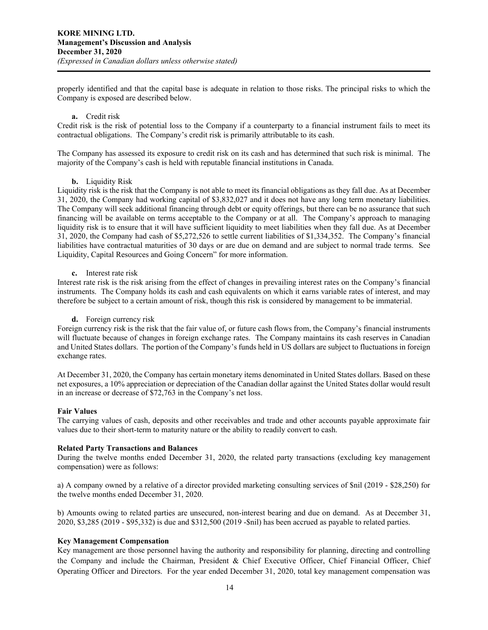properly identified and that the capital base is adequate in relation to those risks. The principal risks to which the Company is exposed are described below.

#### **a.** Credit risk

Credit risk is the risk of potential loss to the Company if a counterparty to a financial instrument fails to meet its contractual obligations. The Company's credit risk is primarily attributable to its cash.

The Company has assessed its exposure to credit risk on its cash and has determined that such risk is minimal. The majority of the Company's cash is held with reputable financial institutions in Canada.

## **b.** Liquidity Risk

Liquidity risk is the risk that the Company is not able to meet its financial obligations as they fall due. As at December 31, 2020, the Company had working capital of \$3,832,027 and it does not have any long term monetary liabilities. The Company will seek additional financing through debt or equity offerings, but there can be no assurance that such financing will be available on terms acceptable to the Company or at all. The Company's approach to managing liquidity risk is to ensure that it will have sufficient liquidity to meet liabilities when they fall due. As at December 31, 2020, the Company had cash of \$5,272,526 to settle current liabilities of \$1,334,352. The Company's financial liabilities have contractual maturities of 30 days or are due on demand and are subject to normal trade terms. See Liquidity, Capital Resources and Going Concern" for more information.

#### **c.** Interest rate risk

Interest rate risk is the risk arising from the effect of changes in prevailing interest rates on the Company's financial instruments. The Company holds its cash and cash equivalents on which it earns variable rates of interest, and may therefore be subject to a certain amount of risk, though this risk is considered by management to be immaterial.

## **d.** Foreign currency risk

Foreign currency risk is the risk that the fair value of, or future cash flows from, the Company's financial instruments will fluctuate because of changes in foreign exchange rates. The Company maintains its cash reserves in Canadian and United States dollars. The portion of the Company's funds held in US dollars are subject to fluctuations in foreign exchange rates.

At December 31, 2020, the Company has certain monetary items denominated in United States dollars. Based on these net exposures, a 10% appreciation or depreciation of the Canadian dollar against the United States dollar would result in an increase or decrease of \$72,763 in the Company's net loss.

#### **Fair Values**

The carrying values of cash, deposits and other receivables and trade and other accounts payable approximate fair values due to their short-term to maturity nature or the ability to readily convert to cash.

#### **Related Party Transactions and Balances**

During the twelve months ended December 31, 2020, the related party transactions (excluding key management compensation) were as follows:

a) A company owned by a relative of a director provided marketing consulting services of \$nil (2019 - \$28,250) for the twelve months ended December 31, 2020.

b) Amounts owing to related parties are unsecured, non-interest bearing and due on demand. As at December 31, 2020, \$3,285 (2019 - \$95,332) is due and \$312,500 (2019 -\$nil) has been accrued as payable to related parties.

#### **Key Management Compensation**

Key management are those personnel having the authority and responsibility for planning, directing and controlling the Company and include the Chairman, President & Chief Executive Officer, Chief Financial Officer, Chief Operating Officer and Directors. For the year ended December 31, 2020, total key management compensation was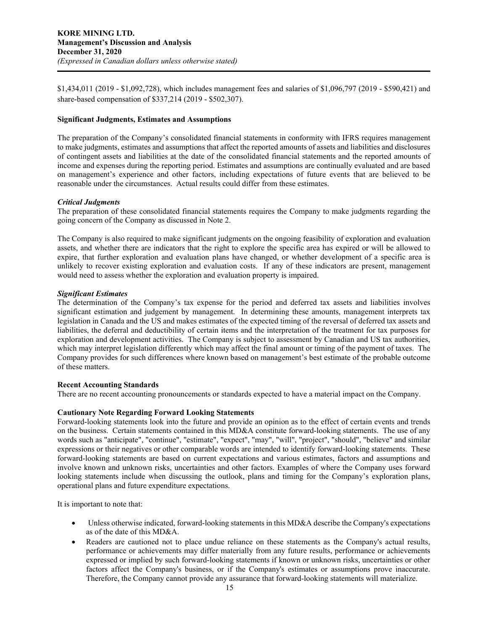\$1,434,011 (2019 - \$1,092,728), which includes management fees and salaries of \$1,096,797 (2019 - \$590,421) and share-based compensation of \$337,214 (2019 - \$502,307).

## **Significant Judgments, Estimates and Assumptions**

The preparation of the Company's consolidated financial statements in conformity with IFRS requires management to make judgments, estimates and assumptions that affect the reported amounts of assets and liabilities and disclosures of contingent assets and liabilities at the date of the consolidated financial statements and the reported amounts of income and expenses during the reporting period. Estimates and assumptions are continually evaluated and are based on management's experience and other factors, including expectations of future events that are believed to be reasonable under the circumstances. Actual results could differ from these estimates.

## *Critical Judgments*

The preparation of these consolidated financial statements requires the Company to make judgments regarding the going concern of the Company as discussed in Note 2.

The Company is also required to make significant judgments on the ongoing feasibility of exploration and evaluation assets, and whether there are indicators that the right to explore the specific area has expired or will be allowed to expire, that further exploration and evaluation plans have changed, or whether development of a specific area is unlikely to recover existing exploration and evaluation costs. If any of these indicators are present, management would need to assess whether the exploration and evaluation property is impaired.

## *Significant Estimates*

The determination of the Company's tax expense for the period and deferred tax assets and liabilities involves significant estimation and judgement by management. In determining these amounts, management interprets tax legislation in Canada and the US and makes estimates of the expected timing of the reversal of deferred tax assets and liabilities, the deferral and deductibility of certain items and the interpretation of the treatment for tax purposes for exploration and development activities. The Company is subject to assessment by Canadian and US tax authorities, which may interpret legislation differently which may affect the final amount or timing of the payment of taxes. The Company provides for such differences where known based on management's best estimate of the probable outcome of these matters.

# **Recent Accounting Standards**

There are no recent accounting pronouncements or standards expected to have a material impact on the Company.

#### **Cautionary Note Regarding Forward Looking Statements**

Forward-looking statements look into the future and provide an opinion as to the effect of certain events and trends on the business. Certain statements contained in this MD&A constitute forward-looking statements. The use of any words such as "anticipate", "continue", "estimate", "expect", "may", "will", "project", "should", "believe" and similar expressions or their negatives or other comparable words are intended to identify forward-looking statements. These forward-looking statements are based on current expectations and various estimates, factors and assumptions and involve known and unknown risks, uncertainties and other factors. Examples of where the Company uses forward looking statements include when discussing the outlook, plans and timing for the Company's exploration plans, operational plans and future expenditure expectations.

It is important to note that:

- Unless otherwise indicated, forward-looking statements in this MD&A describe the Company's expectations as of the date of this MD&A.
- Readers are cautioned not to place undue reliance on these statements as the Company's actual results, performance or achievements may differ materially from any future results, performance or achievements expressed or implied by such forward-looking statements if known or unknown risks, uncertainties or other factors affect the Company's business, or if the Company's estimates or assumptions prove inaccurate. Therefore, the Company cannot provide any assurance that forward-looking statements will materialize.